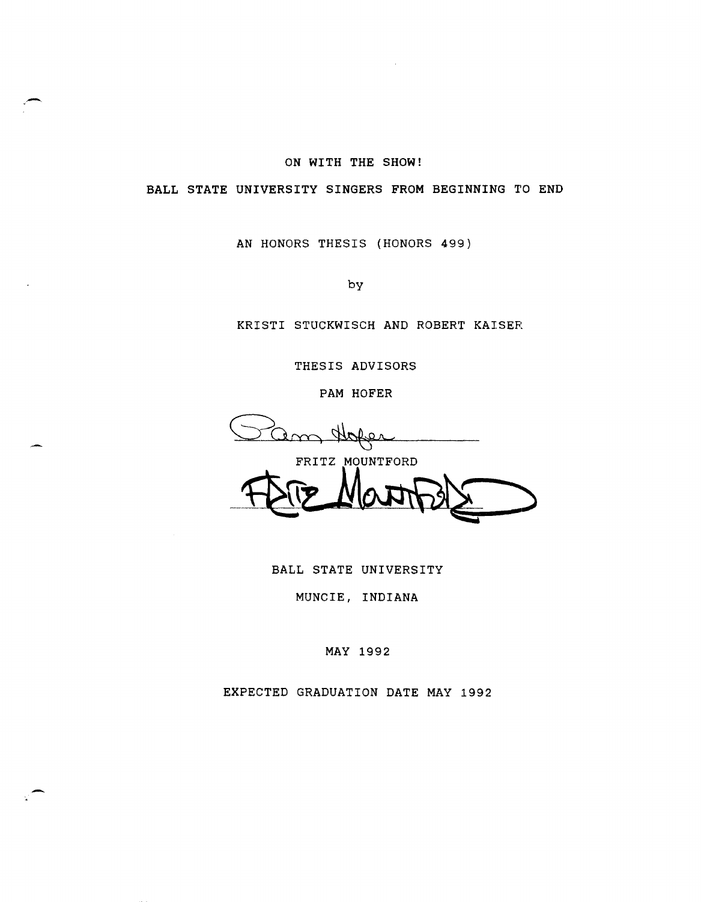#### ON WITH THE SHOW!

#### BALL STATE UNIVERSITY SINGERS FROM BEGINNING TO END

AN HONORS THESIS (HONORS 499)

by

KRISTI STUCKWISCH AND ROBERT KAISER

THESIS ADVISORS

PAM HOFER

FRITZ MOUNTFORD

BALL STATE UNIVERSITY

MUNCIE, INDIANA

MAY 1992

EXPECTED GRADUATION DATE MAY 1992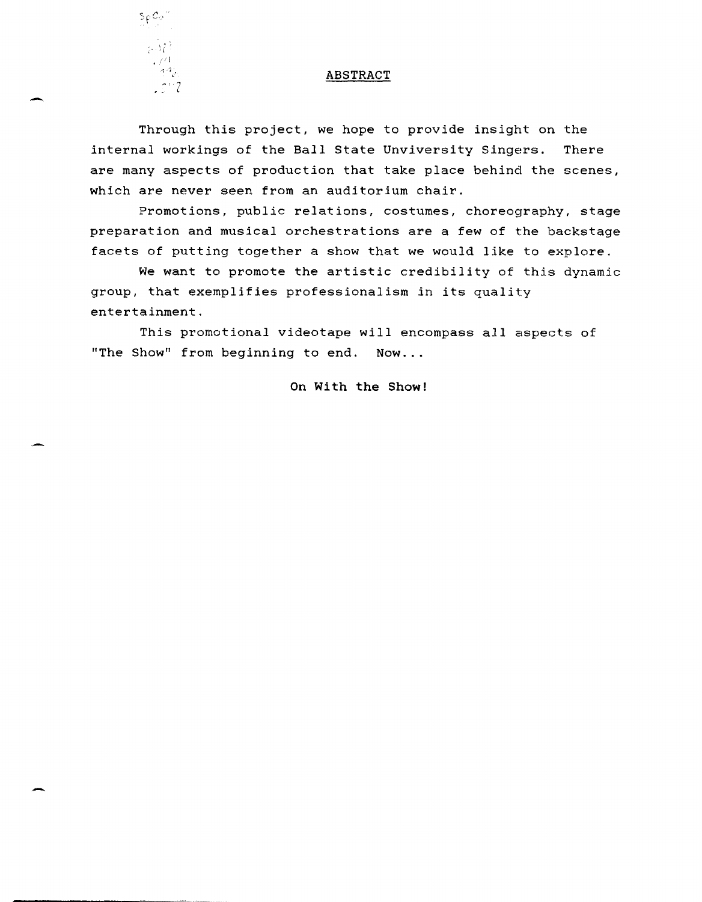

-

-

#### ABSTRACT

Through this project, we hope to provide insight on the internal workings of the Ball State Unviversity Singers. There are many aspects of production that take place behind the scenes, which are never seen from an auditorium chair.

Promotions, public relations, costumes, choreography, stage preparation and musical orchestrations are a few of the backstage facets of putting together a show that we would like to explore.

We want to promote the artistic credibility of this dynamic group, that exemplifies professionalism in its quality entertainment.

This promotional videotape will encompass *all* aspects of "The Show" from beginning to end. Now...

On With the Show!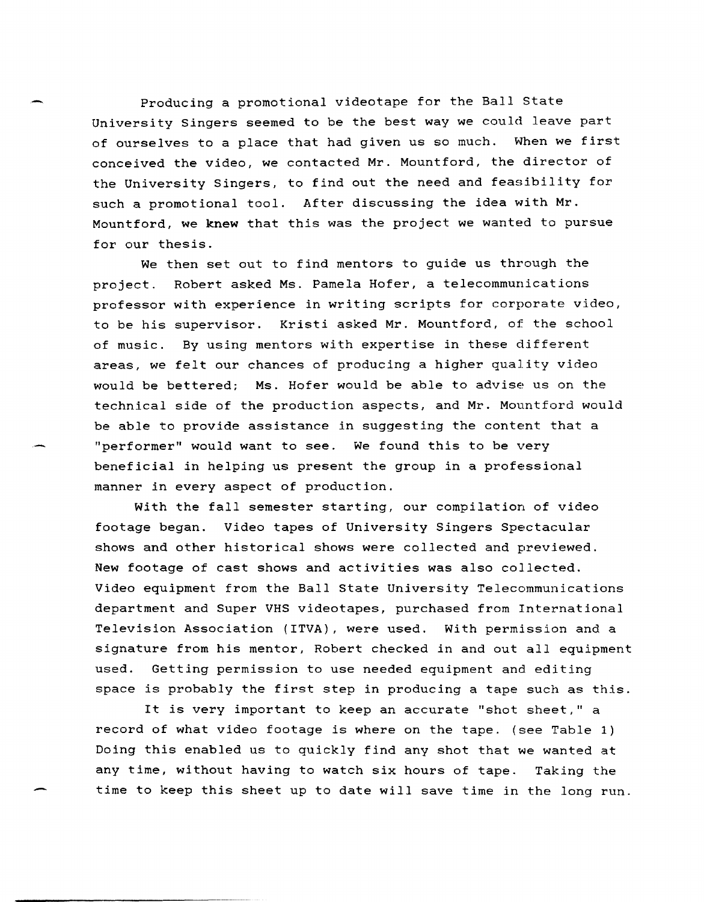Producing a promotional videotape for the Ball state University Singers seemed to be the best way we could leave part of ourselves to a place that had given us so much. When we first conceived the video, we contacted Mr. Mountford, the director of the University Singers, to find out the need and feasibility for such a promotional tool. After discussing the idea with Mr. Mountford, we knew that this was the project we wanted to pursue for our thesis.

We then set out to find mentors to guide us through the project. Robert asked Ms. Pamela Hofer, a telecommunications professor with experience in writing scripts for corporate video, to be his supervisor. Kristi asked Mr. Mountford, of the school of music. By using mentors with expertise in these different areas, we felt our chances of producing a higher quality video would be bettered; Ms. Hofer would be able to advise us on the technical side of the production aspects, and Mr. Mountford would be able to provide assistance in suggesting the content that a "performer" would want to see. We found this to be very beneficial in helping us present the group in a professional manner in every aspect of production.

With the fall semester starting, our compilation of video footage began. Video tapes of University Singers Spectacular shows and other historical shows were collected and previewed. New footage of cast shows and activities was also collected. Video equipment from the Ball State University Telecommunications department and Super VHS videotapes, purchased from International Television Association (ITVA), were used. With permission and a signature from his mentor, Robert checked in and out all equipment used. Getting permission to use needed equipment and editing space is probably the first step in producing a tape such as this.

It *is* very important to keep an accurate "shot sheet," a record of what video footage *is* where on the tape. (see Table 1) Doing this enabled us to quickly find any shot that we wanted at any *time,* without having to watch six hours of tape. Taking the *time* to keep this sheet up to date will save time in the long run.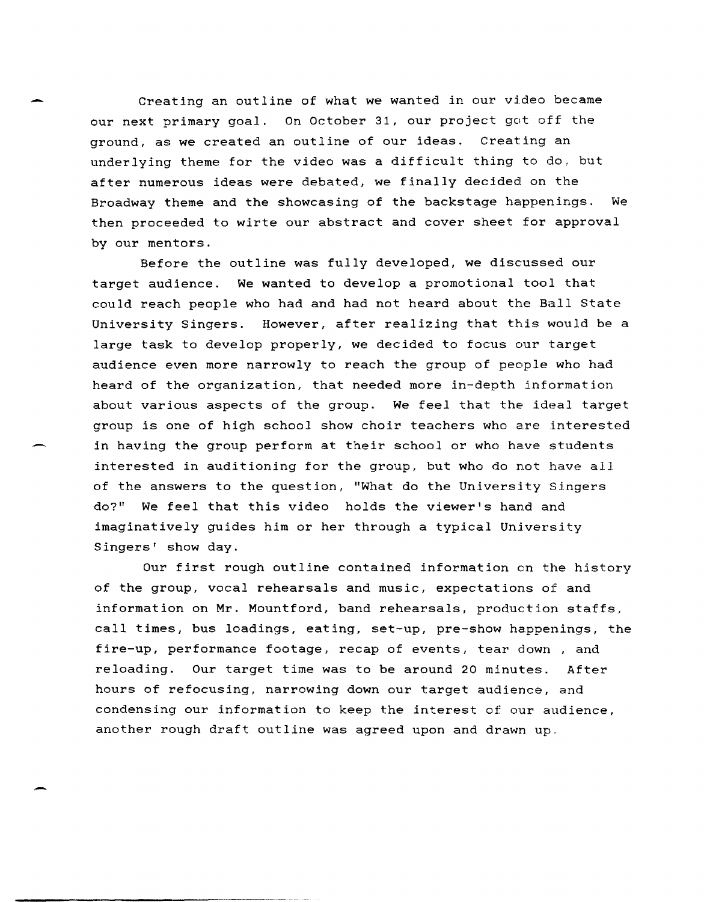Creating an outline of what we wanted in our video became our next primary goal. On October 31, our project got off the ground, as we created an outline of our ideas. Creating an underlying theme for the video was a difficult thing to do, but after numerous ideas were debated, we finally decided on the Broadway theme and the showcasing of the backstage happenings. We then proceeded to wirte our abstract and cover sheet for approval by our mentors.

Before the outline was fully developed, we discussed our target audience. We wanted to develop a promotional tool that could reach people who had and had not heard about the Ball State University Singers. However, after realizing that this would be a large task to develop properly, we decided to focus our target audience even more narrowly to reach the group of people who had heard of the organization, that needed more in-depth information about various aspects of the group. We feel that the ideal target group is one of high school show choir teachers who are interested in having the group perform at their school or who have students interested in auditioning for the group, but who do not have all of the answers to the question, "What do the University Singers do?" We feel that this video holds the viewer's hand and imaginatively guides him or her through a typical University Singers' show day.

Our first rough outline contained information on the history of the group, vocal rehearsals and music, expectations of and information on Mr. Mountford, band rehearsals, production staffs, call times, bus loadings, eating, set-up, pre-show happenings, the fire-up, performance footage, recap of events, tear down, and reloading. Our target time was to be around 20 minutes. After hours of refocusing, narrowing down our target audience, and condensing our information to keep the interest of our audience, another rough draft outline was agreed upon and drawn up.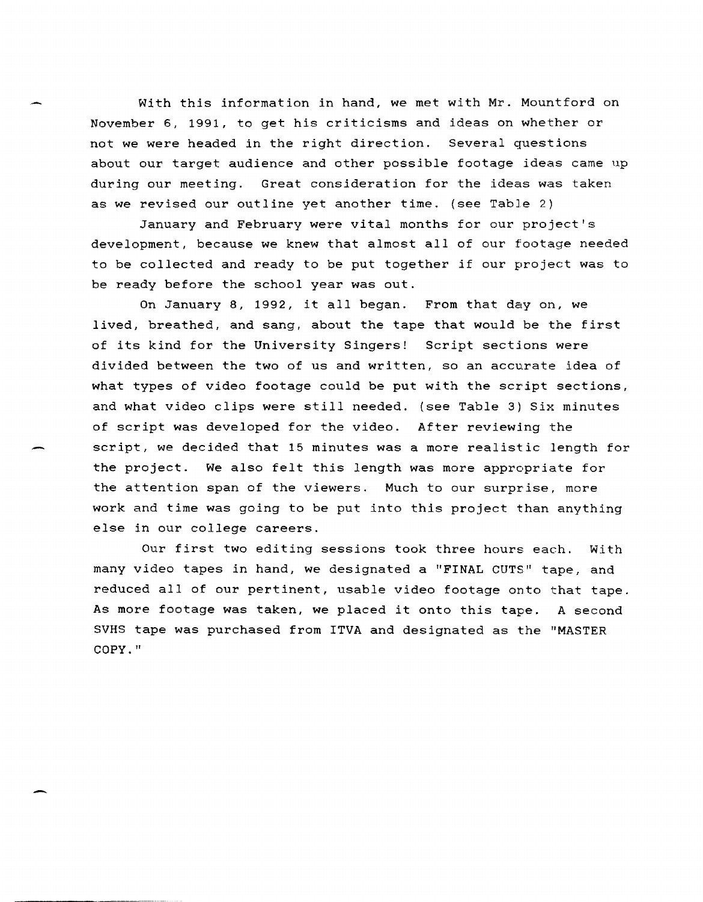With this information in hand, we met with Mr. Mountford on November 6, 1991, to get his criticisms and ideas on whether or not we were headed in the right direction. Several questions about our target audience and other possible footage ideas came up during our meeting. Great consideration for the ideas was taken as we revised our outline yet another time. (see Table 2)

January and February were vital months for our project's development, because we knew that almost all of our footage needed to be collected and ready to be put together if our project was to be ready before the school year was out.

On January 8, 1992, it all began. From that day on, we lived, breathed, and sang, about the tape that would be the first of its kind for the University Singers! Script sections were divided between the two of us and written, so an accurate idea of what types of video footage could be put with the script sections, and what video clips were still needed. (see Table 3) Six minutes of script was developed for the video. After reviewing the script, we decided that 15 minutes was a more realistic length for the project. We also felt this length was more appropriate for the attention span of the viewers. Much to our surprise, more work and time was going to be put into this project than anything else *in* our college careers.

Our first two editing sessions took three hours each. With many video tapes in hand, we designated a "FINAL CUTS" tape, and reduced all of our pertinent, usable video footage onto that tape. As more footage was taken, we placed it onto this tape. A second SVHS tape was purchased from ITVA and designated as the "MASTER COPY."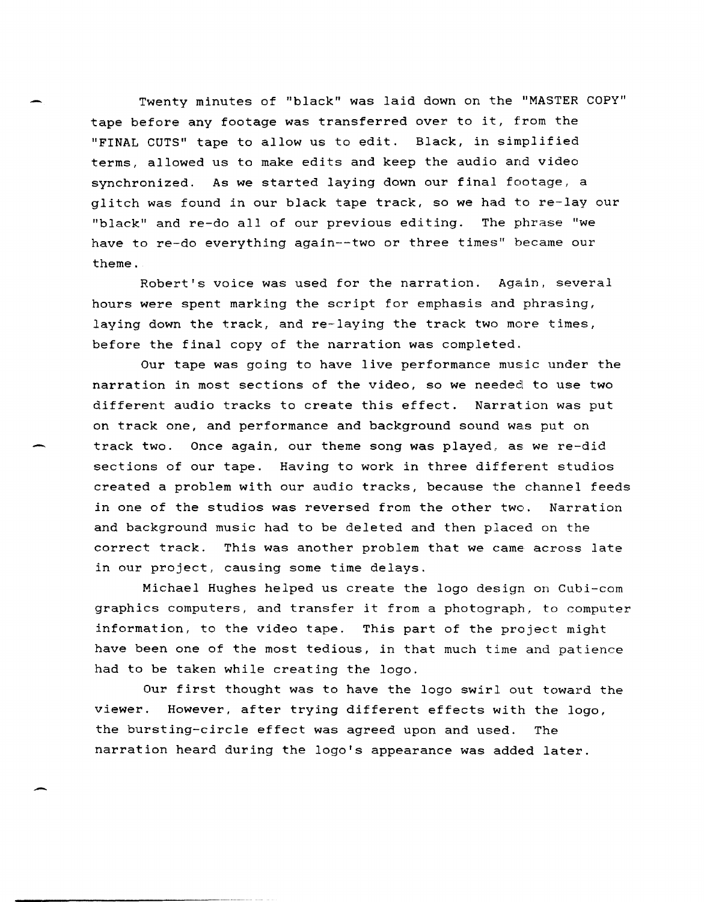Twenty minutes of "black" was laid down on the "MASTER COpy" tape before any footage was transferred over to it, from the "FINAL CUTS" tape to allow us to edit. Black, in simplified terms, allowed us to make edits and keep the audio and video synchronized. As we started laying down our final footage, a glitch was found in our black tape track, so we had to re-lay our "black" and re-do *all* of our previous editing. The phrase "we have to re-do everything again--two or three times" became our theme.

Robert's voice was used for the narration. Again, several hours were spent marking the script for emphasis and phrasing, laying down the track, and re-laying the track two more times, before the final copy of the narration was completed.

Our tape was going to have live performance music under the narration in most sections of the video, so we needed to use two different audio tracks to create this effect. Narration was put on track one, and performance and background sound was put on track two. Once again, our theme song was played, as we re-did sections of our tape. Having to work in three different studios created a problem with our audio tracks, because the channel feeds in one of the studios was reversed from the other two. Narration and background music had to be deleted and then placed on the correct track. This was another problem that we came across late in our project, causing some time delays.

Michael Hughes helped us create the *logo* design on Cubi-com graphics computers, and transfer it from a photograph, to computer information, to the video tape. This part of the project might have been one of the most tedious, in that much time and patience had to be taken while creating the *logo.* 

Our first thought was to have the *logo* swirl out toward the viewer. However, after trying different effects with the logo, the bursting-circle effect was agreed upon and used. The narration heard during the logo's appearance was added later.

-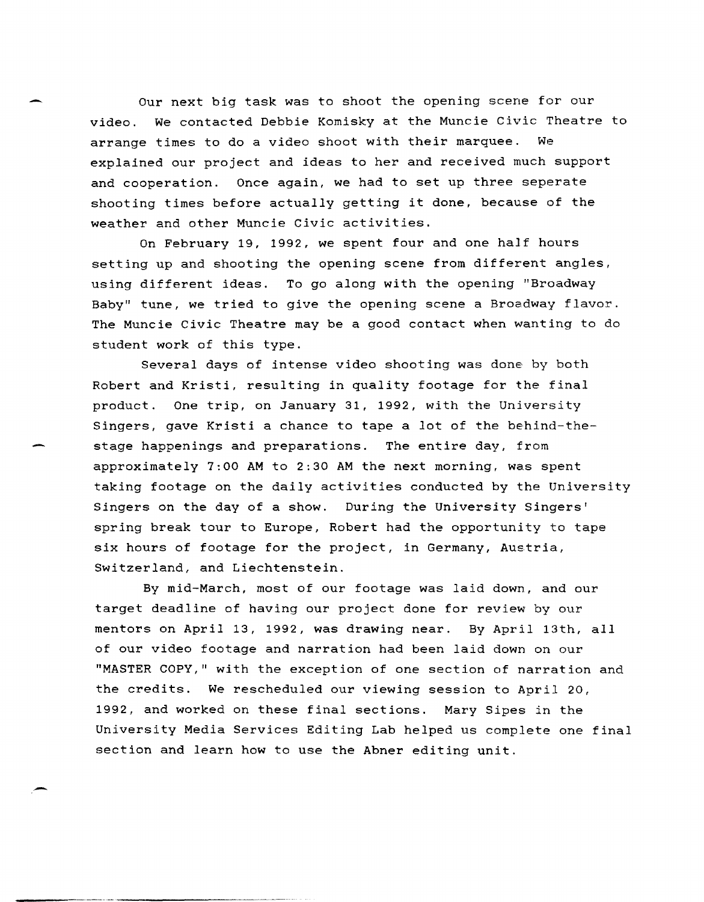Our next big task was to shoot the opening scene for our video. We contacted Debbie Komisky at the Muncie Civic Theatre to arrange times to do a video shoot with their marquee. We explained our project and ideas to her and received much support and cooperation. Once again, we had to set up three seperate shooting times before actually getting it done, because of the weather and other Muncie Civic activities.

On February 19, 1992, we spent four and one half hours setting up and shooting the opening scene from different angles, using different ideas. To go along with the opening "Broadway Baby" tune, we tried to give the opening scene a Broadway flavor. The Muncie Civic Theatre may be a good contact when wanting to do student work of this type.

Several days of intense video shooting was done by both Robert and Kristi, resulting in quality footage for the final product. One trip, on January 31, 1992, with the University Singers, gave Kristi a chance to tape a lot of the behind-thestage happenings and preparations. The entire day, from approximately 7:00 AM to 2:30 AM the next morning, was spent taking footage on the daily activities conducted by the University Singers on the day of a show. During the University Singers' spring break tour to Europe, Robert had the opportunity to tape six hours of footage for the project, in Germany, Austria, Switzerland, and Liechtenstein.

By mid-March, most of our footage was laid down, and our target deadline of having our project done for review by our mentors on April 13, 1992, was drawing near. By April 13th, all of our video footage and narration had been laid down on our "MASTER COPY, " with the exception of one section of narration and the credits. We rescheduled our viewing session to April 20, 1992, and worked on these final sections. Mary Sipes in the University Media Services Editing Lab helped us complete one final section and learn how to use the Abner editing unit.

,-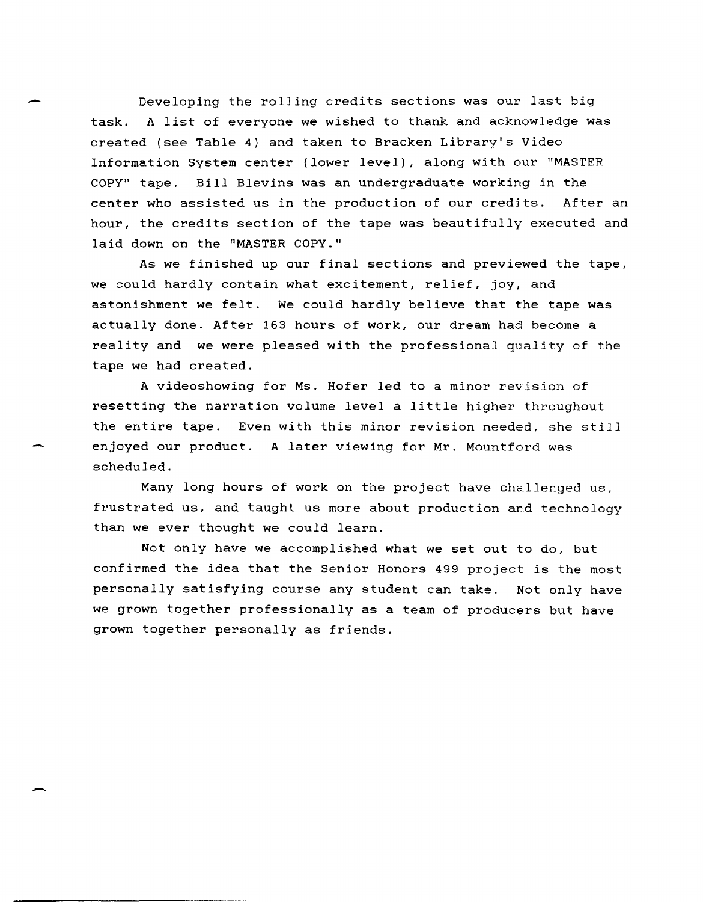Developing the rolling credits sections was our last big task. A list of everyone we wished to thank and acknowledge was created (see Table 4) and taken to Bracken Library's Video Information System center (lower level), along with our "MASTER COpy" tape. Bill Blevins was an undergraduate working in the center who assisted us in the production of our credjts. After an hour, the credits section of the tape was beautifully executed and laid down on the "MASTER COPY."

As we finished up our final sections and previewed the tape, we could hardly contain what excitement, relief, joy, and astonishment we felt. We could hardly believe that the tape was actually done. After 163 hours of work, our dream had become a reality and we were pleased with the professional quality of the tape we had created.

A videoshowing for Ms. Hofer led to a minor revision of resetting the narration volume level a little higher throughout the entire tape. Even with this minor revision needed, she still enjoyed our product. A later viewing for Mr. Mountford was scheduled.

Many long hours of work on the project have challenged us, frustrated us, and taught us more about production and technology than we ever thought we could learn.

Not only have we accomplished what we set out to do, but confirmed the idea that the Senior Honors 499 project is the most personally satisfying course any student can take. Not only have we grown together professionally as a team of producers but have grown together personally as friends.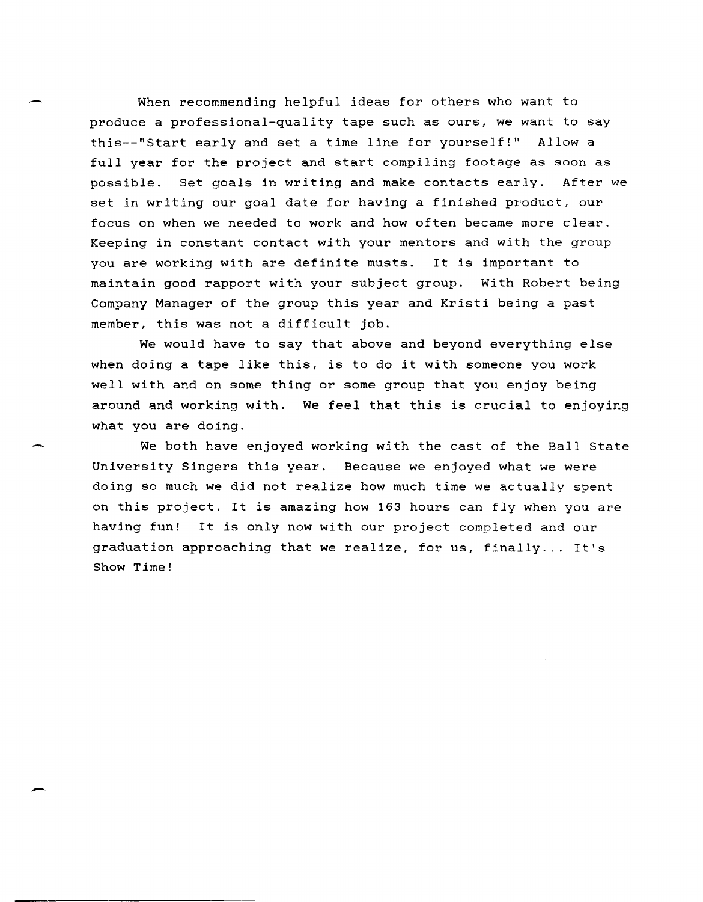When recommending helpful ideas for others who want to produce a professional-quality tape such as ours, we want to say this--"Start early and set a time line for yourself!" Allow a full year for the project and start compiling footage as soon as possible. Set goals in writing and make contacts early. After we set in writing our goal date for having a finished product, our focus on when we needed to work and how often became more clear. Keeping in constant contact with your mentors and with the group you are working with are definite musts. It is important to maintain good rapport with your subject group. With Robert being Company Manager of the group this year and Kristi being a past member, this was not a difficult job.

-

-

We would have to say that above and beyond everything else when doing a tape like this, is to do it with someone you work well with and on some thing or some group that you enjoy being around and working with. We feel that this is crucial to enjoying what you are doing.

We both have enjoyed working with the cast of the Ball State University Singers this year. Because we enjoyed what we were doing so much we did not realize how much time we actually spent on this project. It is amazing how 163 hours can fly when you are having fun! It is only now with our project completed and our graduation approaching that we realize, for us, finally... It's Show Time!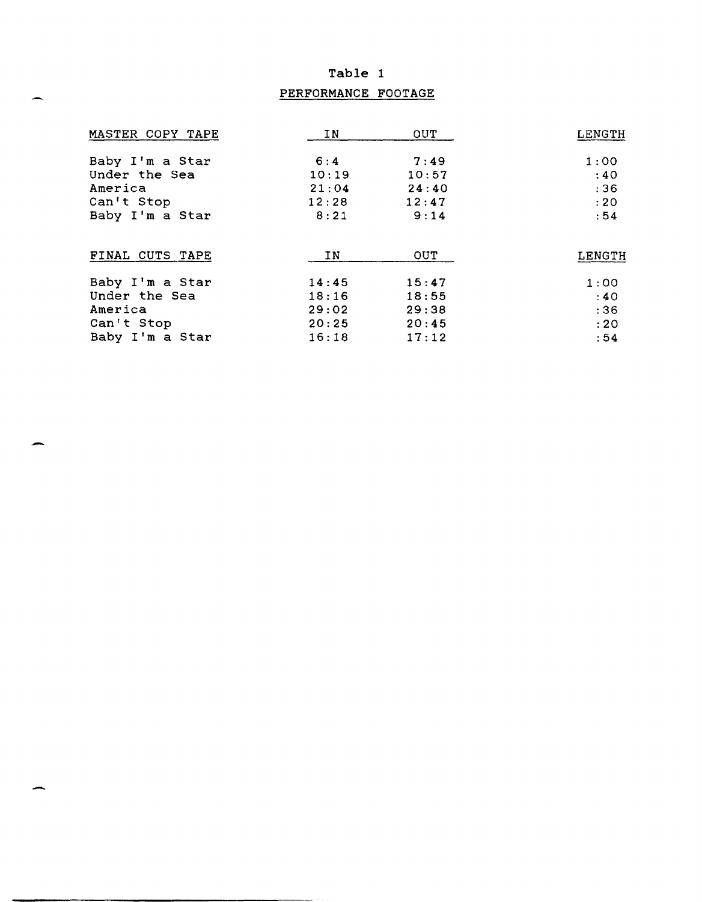# Table 1

# PERFORMANCE FOOTAGE

| MASTER COPY TAPE | ΙN    | OUT.       | LENGTH |
|------------------|-------|------------|--------|
| Baby I'm a Star  | 6:4   | 7:49       | 1:00   |
| Under the Sea    | 10:19 | 10:57      | :40    |
| America          | 21:04 | 24:40      | :36    |
| Can't Stop       | 12:28 | 12:47      | : 20   |
| Baby I'm a Star  | 8:21  | 9:14       | :54    |
| FINAL CUTS TAPE  | IN    | <b>OUT</b> | LENGTH |
| Baby I'm a Star  | 14:45 | 15:47      | 1:00   |
| Under the Sea    | 18:16 | 18:55      | :40    |
| America          | 29:02 | 29:38      | .36    |
| Can't Stop       | 20:25 | 20:45      | :20    |
| Baby I'm a Star  | 16:18 | 17:12      | :54    |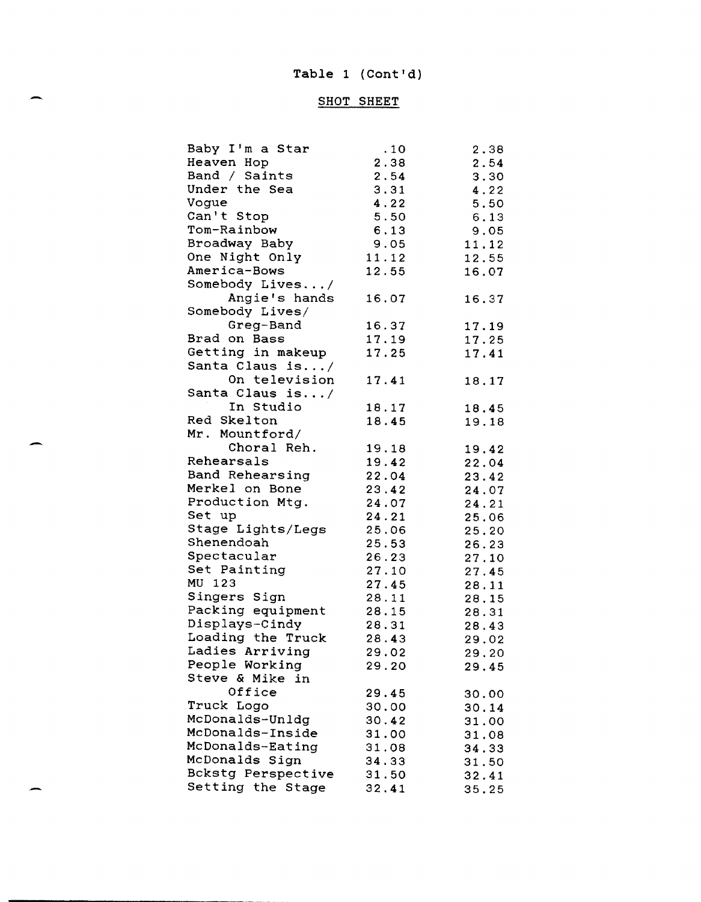## SHOT SHEET

| Baby I'm a Star    | .10   | 2.38  |
|--------------------|-------|-------|
| Heaven Hop         | 2.38  | 2.54  |
| Band / Saints      | 2.54  | 3.30  |
| Under the Sea      | 3.31  | 4.22  |
| Vogue              | 4.22  | 5.50  |
| Can't Stop         | 5.50  | 6.13  |
| Tom-Rainbow        | 6.13  | 9.05  |
| Broadway Baby      | 9.05  | 11.12 |
| One Night Only     | 11.12 | 12.55 |
| America-Bows       | 12.55 | 16.07 |
| Somebody Lives/    |       |       |
| Angie's hands      | 16.07 | 16.37 |
| Somebody Lives/    |       |       |
| Greg-Band          | 16.37 | 17.19 |
| Brad on Bass       | 17.19 | 17.25 |
| Getting in makeup  | 17.25 | 17.41 |
| Santa Claus is/    |       |       |
| On television      |       |       |
| Santa Claus is/    | 17.41 | 18.17 |
| In Studio          |       |       |
| Red Skelton        | 18.17 | 18.45 |
|                    | 18.45 | 19.18 |
| Mr. Mountford/     |       |       |
| Choral Reh.        | 19.18 | 19.42 |
| Rehearsals         | 19.42 | 22.04 |
| Band Rehearsing    | 22.04 | 23.42 |
| Merkel on Bone     | 23.42 | 24.07 |
| Production Mtg.    | 24.07 | 24.21 |
| Set up             | 24.21 | 25.06 |
| Stage Lights/Legs  | 25.06 | 25.20 |
| Shenendoah         | 25.53 | 26.23 |
| Spectacular        | 26.23 | 27.10 |
| Set Painting       | 27.10 | 27.45 |
| MU 123             | 27.45 | 28.11 |
| Singers Sign       | 28.11 | 28.15 |
| Packing equipment  | 28.15 | 28.31 |
| Displays-Cindy     | 28.31 | 28.43 |
| Loading the Truck  | 28.43 | 29.02 |
| Ladies Arriving    | 29.02 | 29.20 |
| People Working     | 29.20 | 29.45 |
| Steve & Mike in    |       |       |
| Office             | 29.45 | 30.00 |
| Truck Logo         | 30.00 | 30.14 |
| McDonalds-Unldg    | 30.42 | 31.00 |
| McDonalds-Inside   | 31.00 | 31.08 |
| McDonalds-Eating   | 31.08 | 34.33 |
| McDonalds Sign     | 34.33 | 31.50 |
| Bokstg Perspective | 31.50 | 32.41 |
| Setting the Stage  | 32.41 | 35.25 |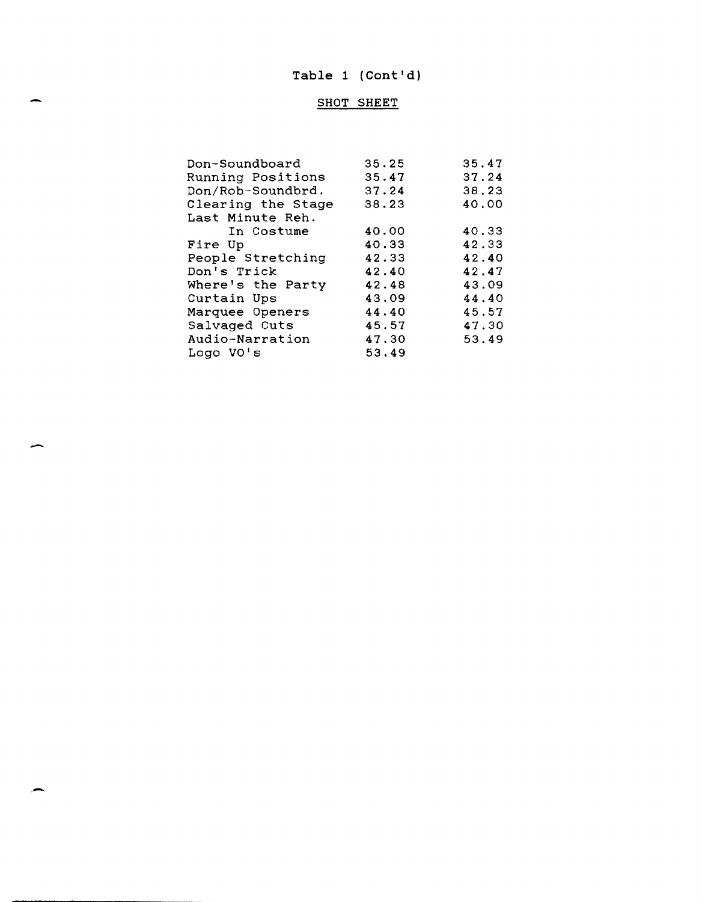# **Table** 1 (Cont'd)

## SHOT SHEET

-

-

| Don-Soundboard     | 35.25 | 35.47 |
|--------------------|-------|-------|
| Running Positions  | 35.47 | 37.24 |
| Don/Rob-Soundbrd.  | 37.24 | 38.23 |
| Clearing the Stage | 38.23 | 40.00 |
| Last Minute Reh.   |       |       |
| In Costume         | 40.00 | 40.33 |
| Fire Up            | 40.33 | 42.33 |
| People Stretching  | 42.33 | 42.40 |
| Don's Trick        | 42.40 | 42.47 |
| Where's the Party  | 42.48 | 43.09 |
| Curtain Ups        | 43.09 | 44.40 |
| Marquee Openers    | 44.40 | 45.57 |
| Salvaged Cuts      | 45.57 | 47.30 |
| Audio-Narration    | 47.30 | 53.49 |
| Logo $VO$ 's       | 53.49 |       |
|                    |       |       |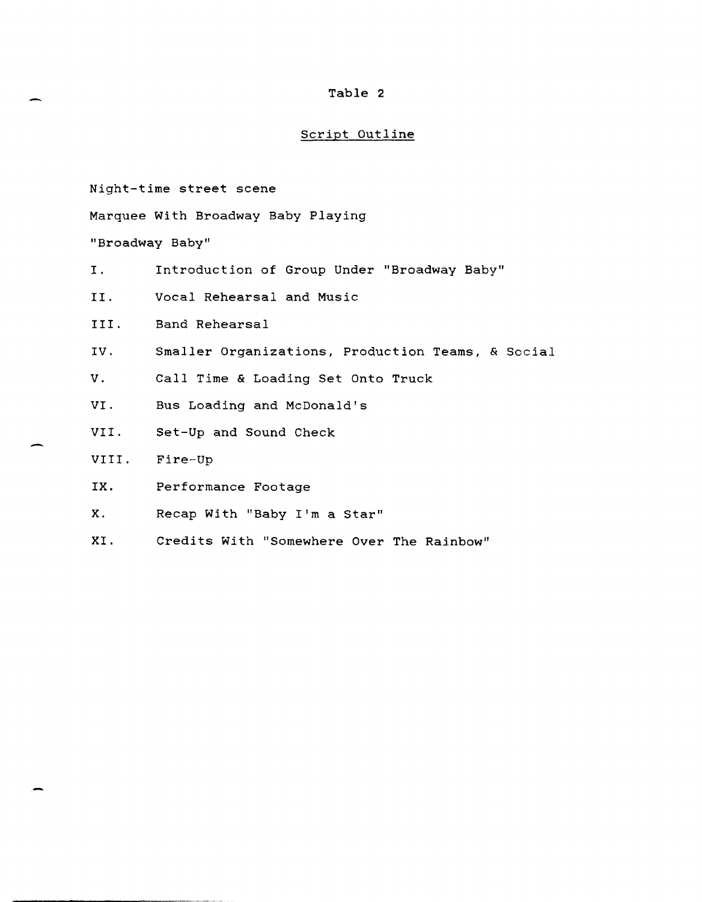### **Table 2**

### Script Outline

Night-time street scene

Marquee With Broadway Baby Playing

"Broadway Baby"

- I. Introduction of Group Under "Broadway Baby"
- II. Vocal Rehearsal and Music
- III. Band Rehearsal
- IV. Smaller Organizations, Production Teams, & Social
- V. Call *Time* & Loading Set Onto Truck
- VI. Bus Loading and McDonald's
- VII. Set-Up and Sound Check
- VIII. Fire-Up
- IX. Performance Footage
- X. Recap With "Baby I'm a Star"
- XI. Credits With "Somewhere Over The Rainbow"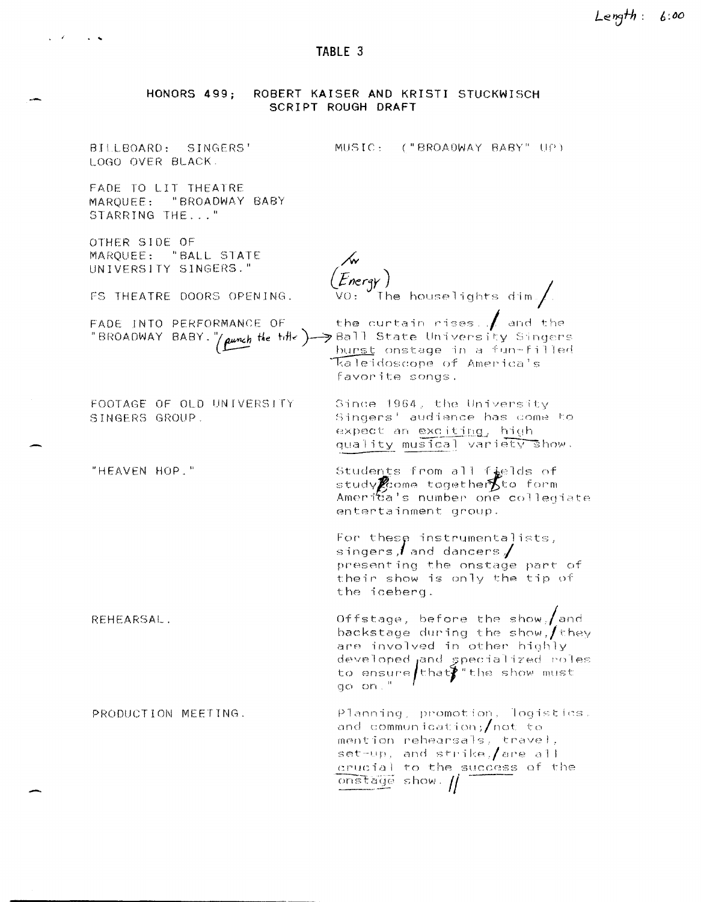TABLE 3

SCRIPT ROUGH DRAFT

ROBERT KAISER AND KRISTI STUCKWISCH

 $\mathcal{L}$  . The set of  $\mathcal{L}$ 

HONORS 499:

MUSIC: ("BROADWAY BABY" UP) BILLBOARD: SINGERS' LOGO OVER BLACK. FADE TO LIT THEATRE MARQUEE: "BROADWAY BABY STARRING THE..." OTHER SIDE OF MARQUEE: "BALL STATE UNIVERSITY SINGERS."  $(\overline{E}$ nergy)  $\sqrt{3}$  . The houselights dim./. FS THEATRE DOORS OPENING. FADE INTO PERFORMANCE OF the curtain rises.  $\int$  and the "BROADWAY BABY."  $\mu$  and  $\mu$  is the the state University Singers FADE INTO PERFORMANCE OF burst onstage in a fun-filled Tealeidoscope of America's favorite songs. FOOTAGE OF OLD UNIVERSITY Since 1964, the University Singers' audience has come to SINGERS GROUP. expect an exciting, high quality musical variety show. "HEAVEN HOP." Students from all fields of study come together to form<br>America's number one collegiate entertainment group. For these instrumentalists, singers,  $\ell$  and dancers,  $\ell$ presenting the onstage part of their show is only the tip of the iceberg. Offstage, before the show, and REHEARSAL. backstage during the show,  $int$  they are involved in other highly developed and specialized roles<br>to ensure that the show must<br>go on." PRODUCTION MEETING. Planning, promotion, logistics. and communication;  $\int$  not to mention rehearsals, travel, set-up, and strike, are all crucial to the success of the  $\overline{\text{onstage}}$  show.  $\#$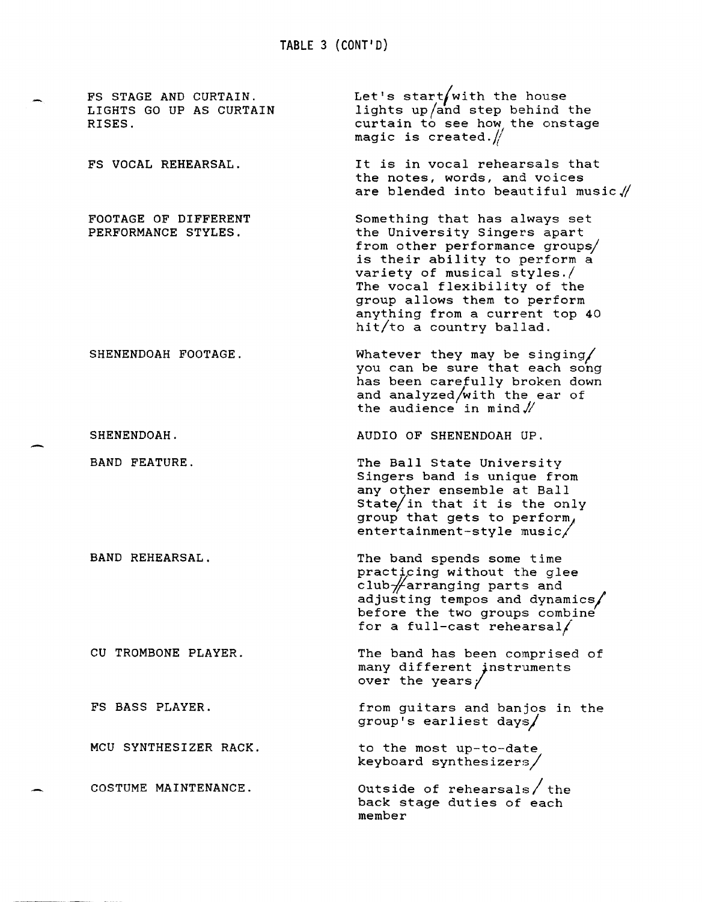FS STAGE AND CURTAIN. LIGHTS GO UP AS CURTAIN RISES. FS VOCAL REHEARSAL. FOOTAGE OF DIFFERENT PERFORMANCE STYLES. SHENENDOAH FOOTAGE. SHENENDOAH. BAND FEATURE. BAND REHEARSAL. CU TROMBONE PLAYER. FS BASS PLAYER. MCU SYNTHESIZER RACK. COSTUME MAINTENANCE. Let's start $\sqrt{$ with the house lights up/and step behind the curtain to see how the onstage magic is created. $//$ It *is* in vocal rehearsals that the notes, words, and voices are blended into beautiful music.// Something that has always set the University Singers apart from other performance groups/ is their ability to perform a variety of musical styles./ The vocal flexibility of the group allows them to perform anything from a current top 40 hit/to a country ballad. Whatever they may be singing/ you can be sure that each song has been carefully broken down and analyzed/with the ear of the audience in mind // AUDIO OF SHENENDOAH UP. The Ball State University Singers band is unique from any other ensemble at Ball State/in that it is the only group that gets to perform}  $entertainment-style music/$ The band spends some time practicing without the glee  $club$   $#arranging$  parts and adjusting tempos and dynamics/ before the two groups combine for a full-cast rehearsal/ The band has been comprised of many different instruments over the years/ from guitars and banjos in the group's earliest days/ to the most up-to-date keyboard synthesizers/ Outside of rehearsals / the back stage duties of each member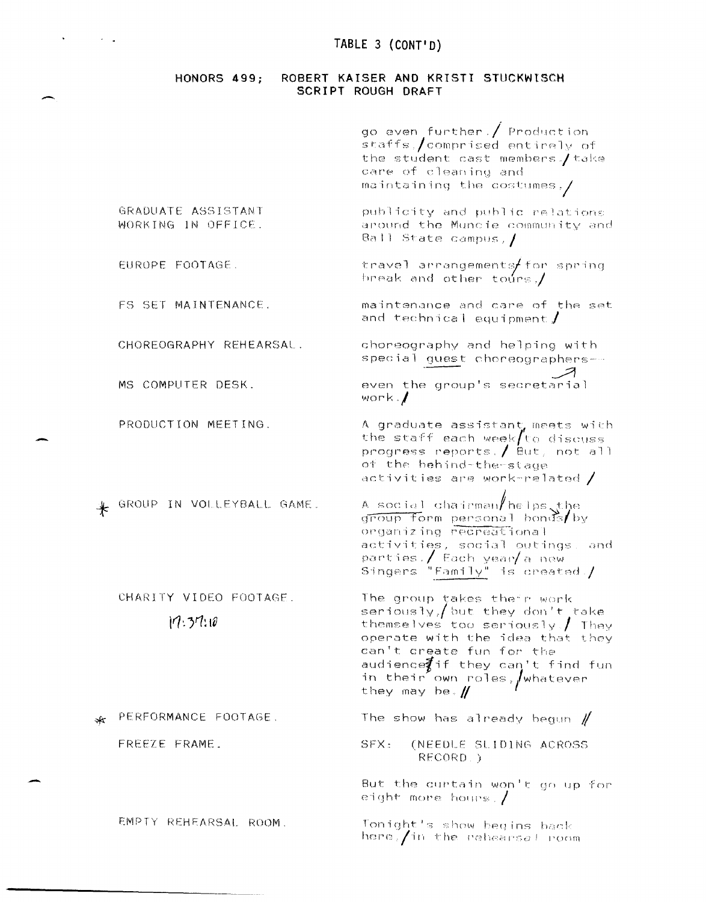#### HONORS 499; ROBERT KAISER AND KRISTI STUCKWISCH SCRIPT ROUGH DRAFT

|                            | go even further./ Production<br>staffs./comprised entirely of<br>the student cast members./ take<br>care of cleaning and<br>maintaining the costumes, $/$                                                                                                                                          |
|----------------------------|----------------------------------------------------------------------------------------------------------------------------------------------------------------------------------------------------------------------------------------------------------------------------------------------------|
| E ASSISTANT<br>IN OFFICE.  | publicity and public relations<br>around the Muncie community and<br>Ball State campus, /                                                                                                                                                                                                          |
| FOOTAGE.                   | travel arrangements for spring<br>break and other tours.                                                                                                                                                                                                                                           |
| MAINTENANCE.               | maintenance and care of the set<br>and technical equipment $\boldsymbol{J}$                                                                                                                                                                                                                        |
| RAPHY REHEARSAL.           | choreography and helping with<br>special guest choreographers--                                                                                                                                                                                                                                    |
| UTER DESK.                 | even the group's secretarial<br>work./                                                                                                                                                                                                                                                             |
| ION MEETING.               | A graduate assistant meets with<br>the staff each week/to discuss<br>progress reports./ ${\tt \ddot{E}ut}$ , not all<br>of the behind-the-stage<br>activities are work-related $\prime$                                                                                                            |
| N VOLLEYBALL GAME.         | A social chairman/helps_the<br>group form personal bonds/by<br>organizing recreational<br>activities, social outings, and<br>parties./ Each year/a new<br>Singers "Family" is created./                                                                                                            |
| VIDEO FOOTAGE.<br>7:371:10 | The group takes their work<br>$\texttt{seriously.} /$ but they don't take<br>themselves too seriously./ They<br>operate with the idea that they<br>can't create fun for the<br>audience $\not\!\!\!\!/$ if they can't find fun<br>in their own roles, whatever<br>they may be. $\pmb{\mathcal{U}}$ |
| ANCE FOOTAGE.              | The show has already begun $\rlap{\hspace{0.1em}/} \prime$                                                                                                                                                                                                                                         |
| FRAME.                     | SFX: (NEEDLE SLIDING ACROSS<br>RECORD.)                                                                                                                                                                                                                                                            |
|                            | But the curtain won't go up for<br>eight more hours./                                                                                                                                                                                                                                              |
| EHEARSAL ROOM.             | Tonight's show heaine back                                                                                                                                                                                                                                                                         |

GRADUAT WORKING

EUROPE

 $\sim$ 

 $\mathcal{O}(\mathcal{O}(\log n))$ 

FS SET

CHOREOG

MS COMP

PRODUCT

 $*$  GROUP I

CHARITY  $\mathfrak{f}$ 

**\*** PERFORM FREEZE

EMPTY R

Tonight's show begins back<br>here, in the rehearsal room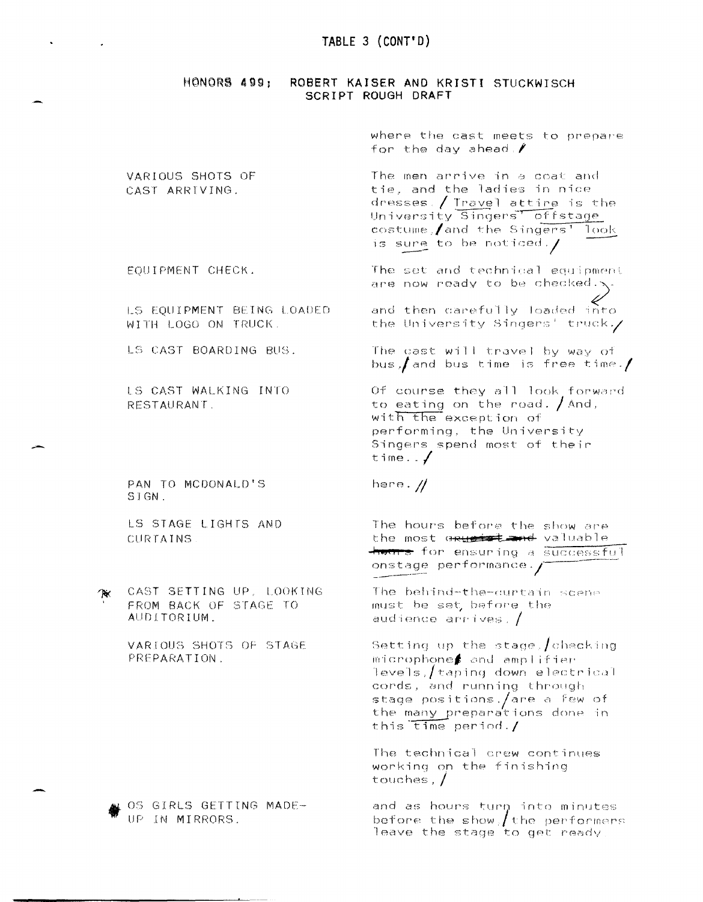### HONORS 499; ROBERT KAISER AND KRISTI STUCKWISCH SCRIPT ROUGH DRAFT

|                                                                  | where the cast meets to prepare<br>for the day ahead. $\ell$                                                                                                                                                            |
|------------------------------------------------------------------|-------------------------------------------------------------------------------------------------------------------------------------------------------------------------------------------------------------------------|
| VARIOUS SHOTS OF<br>CAST ARRIVING.                               | The men arrive in a coat and<br>tie, and the ladies in nice<br>dresses. / Travel attire is the<br>University Singers' offstage<br>costume, and the Singers' look<br>is sure to be noticed./                             |
| EQUIPMENT CHECK.                                                 | The set and technical equipment<br>are now ready to be checked. $\searrow$                                                                                                                                              |
| LS EQUIPMENT BEING LOADED<br>WITH LOGO ON TRUCK.                 | and then carefully loaded into<br>the University Singers' truck. $\diagup$                                                                                                                                              |
| LS CAST BOARDING BUS.                                            | The cast will travel by way of<br>bus, and bus time is free time./                                                                                                                                                      |
| LS CAST WALKING INTO<br>RESTAURANT.                              | Of course they all look forward<br>to eating on the road. $/$ And,<br>with the exception of<br>performing, the University<br>Singers spend most of their<br>time $\sqrt$                                                |
| PAN TO MCDONALD'S<br>SIGN.                                       | here. $\#$                                                                                                                                                                                                              |
| LS STAGE LIGHTS AND<br>CURTAINS                                  | The hours before the show are<br>the most <del>oryginized</del> valuable<br>hat for ensuring a successful<br>$on stage$ performance. $\mathcal T$                                                                       |
| CAST SETTING UP, LOOKING<br>FROM BACK OF STAGE TO<br>AUDITORIUM. | The behind-the-curtain scene<br>must be set before the<br>audience arrives. $/$                                                                                                                                         |
| VARIOUS SHOTS OF STAGE<br>PREPARATION.                           | Setting up the stage, $/$ checking<br>microphone∌ and amplifier<br>levels,/taping down electrical<br>cords, and running through<br>stage positions./are a few of<br>the many preparations done in<br>this time period./ |
|                                                                  | The technical crew continues<br>working on the finishing<br>touches, $\int$                                                                                                                                             |
| OS GIRLS GETTING MADE-<br>UP IN MIRRORS.                         | and as hours turn into minutes<br>before the show $\int$ the performers<br>leave the stage to get ready                                                                                                                 |

 $\mathcal{R}$ 

 $\mathbf{v} = \mathbf{v} \times \mathbf{v}$  ,  $\mathbf{v} = \mathbf{v}$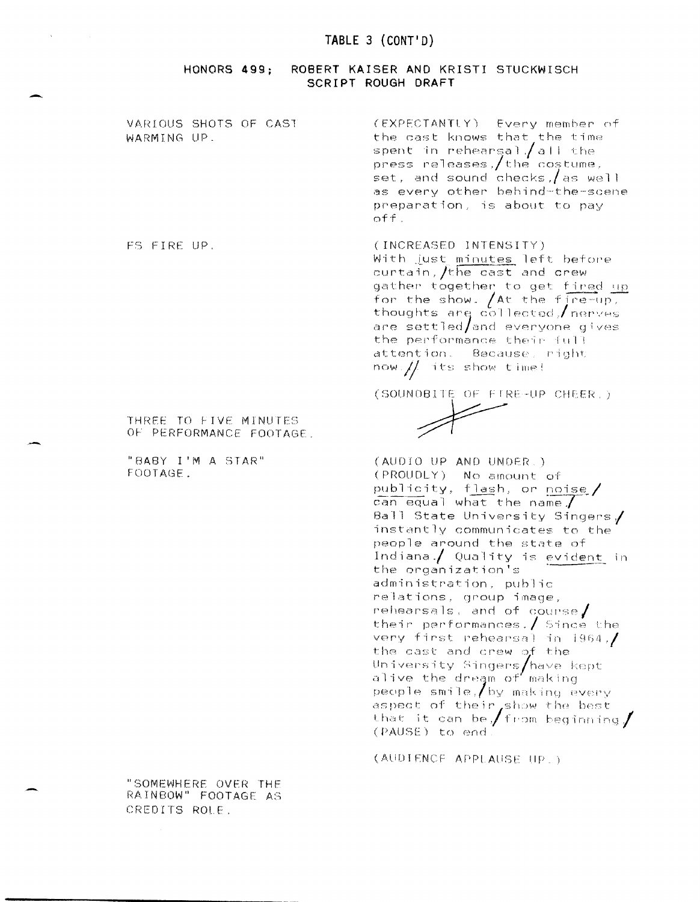# TABLE 3 (CONT'D)

#### HONORS 499; ROBERT KAISER AND KRISTI STUCKWISCH SCRIPT ROUGH DRAFT

| VARIOUS SHOTS OF CAST<br>WARMING UP.             | (EXPECTANTLY) Every member of<br>the cast knows that the time<br>spent in rehearsal/all the<br>press releases, the costume,<br>set, and sound checks, as well<br>as every other behind-the-scene<br>preparation, is about to pay<br>off.                                                                                                                                                                                                                                                                                                                                                                                                                       |
|--------------------------------------------------|----------------------------------------------------------------------------------------------------------------------------------------------------------------------------------------------------------------------------------------------------------------------------------------------------------------------------------------------------------------------------------------------------------------------------------------------------------------------------------------------------------------------------------------------------------------------------------------------------------------------------------------------------------------|
| FS FIRE UP.                                      | (INCREASED INTENSITY)<br>With just minutes left before<br>curtain, the cast and crew<br>gather together to get fired up<br>for the show. (At the fire-up,<br>thoughts are collected, nerves<br>are settled/and everyone gives<br>the performance their full<br>attention. Because, right<br>$now / /$ its show time!                                                                                                                                                                                                                                                                                                                                           |
| THREE TO FIVE MINUTES<br>OF PERFORMANCE FOOTAGE. | (SOUNDBITE OF FIRE-UP CHEER.)                                                                                                                                                                                                                                                                                                                                                                                                                                                                                                                                                                                                                                  |
| "BABY I'M A STAR"<br>FOOTAGE.                    | (AUDIO UP AND UNDER.)<br>(PROUDLY) No amount of<br>publicity, flash, or noise/<br>can equal what the name.<br>Ball State University Singers,<br>instantly communicates to the<br>people around the state of<br>Indiana./ Quality is evident in<br>the organization's<br>administration, public<br>relations, group image,<br>rehearsals, and of course $\boldsymbol{I}$<br>their performances. $/$ Since the<br>very first rehearsal in 1964,/<br>the cast and crew of the<br>University Singers/have kept<br>alive the dream of making<br>people smile, by making every<br>aspect of their show the best<br>that it can be, from beginning,<br>(PAUSE) to end |

(AUDIENCE APPLAUSE UP.)

"SOMEWHERE OVER THE RAINBOW" FOOTAGE AS CREDITS ROLE.

 $\mathbf{A}^{(i)}$  and  $\mathbf{A}^{(i)}$  and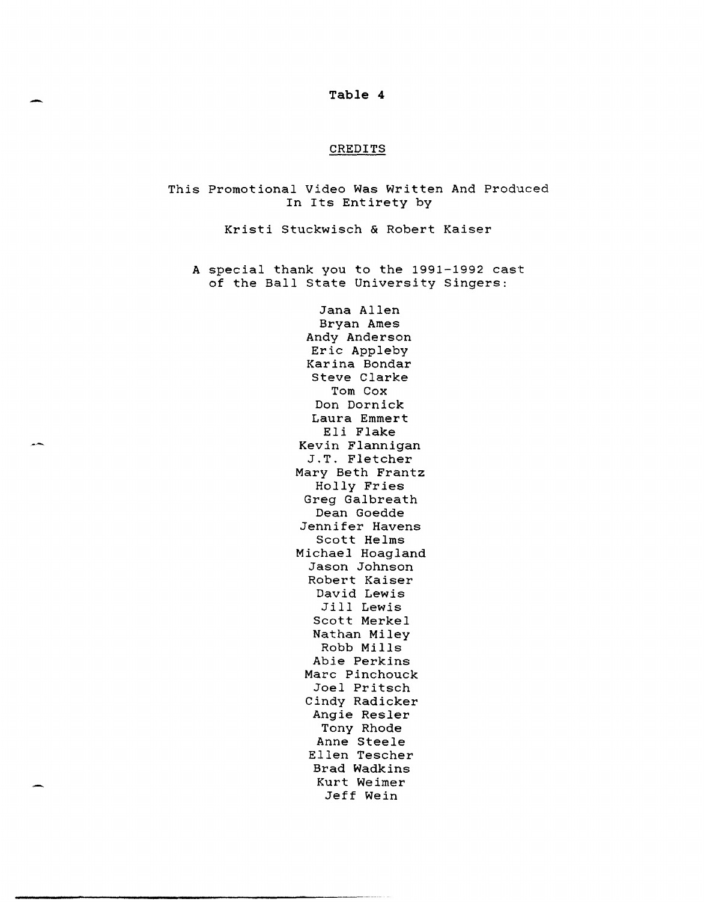- **Table 4** 

#### CREDITS

This Promotional Video Was Written And Produced In Its Entirety by

Kristi Stuckwisch & Robert Kaiser

A special thank you to the 1991-1992 cast of the Ball State University Singers:

> Jana Allen Bryan Ames Andy Anderson Eric Appleby Karina Bondar Steve Clarke Tom Cox Don Dornick Laura Emmert Eli Flake Kevin Flannigan J.T. Fletcher Mary Beth Frantz Holly Fries Greg Galbreath Dean Goedde Jennifer Havens Scott Helms Michael Hoagland Jason Johnson Robert Kaiser David Lewis Jill Lewis Scott Merkel Nathan Miley Robb Mills Able Perkins Marc Pinchouck Joel Pritsch Cindy Radicker Angie Resler Tony Rhode Anne Steele Ellen Tescher Brad Wadkins Kurt Weimer Jeff Wein